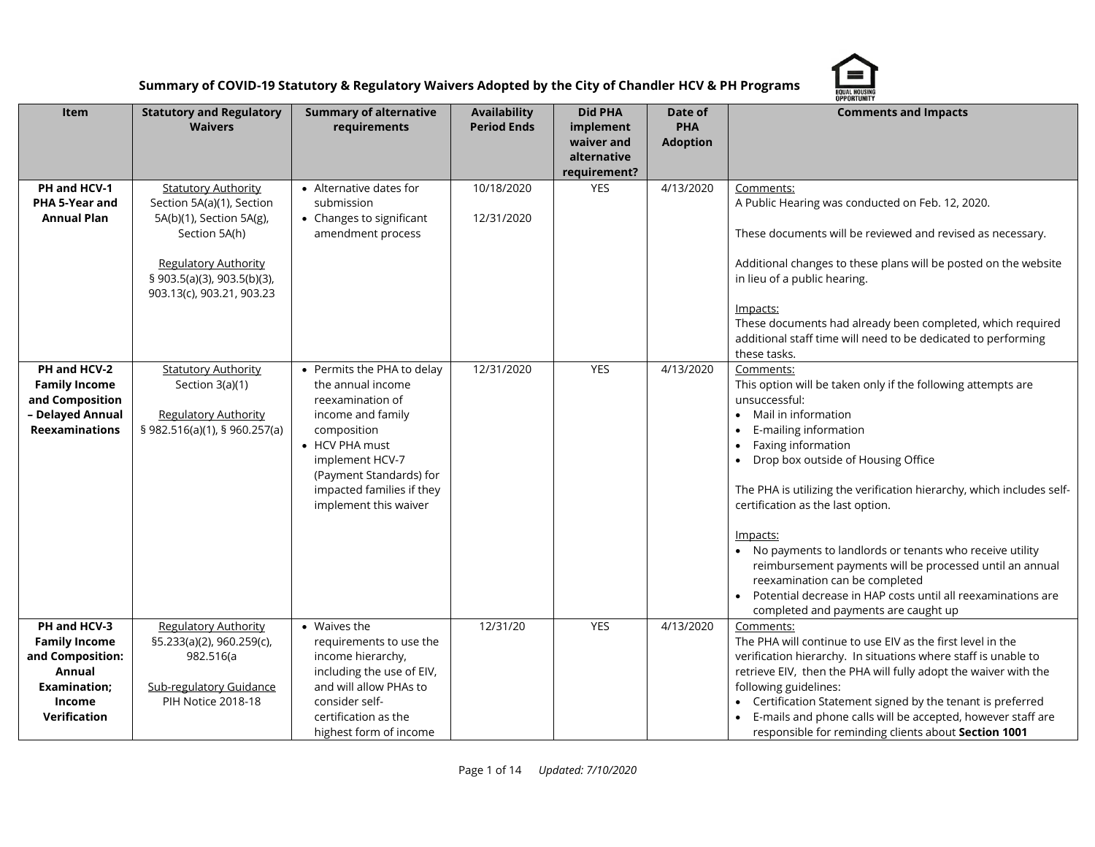

|                                                                                                                     |                                                                                                                                                                                                 |                                                                                                                                                                                                                               |                                    |                                                                          |                                          | <b>OPPORTUNITY</b>                                                                                                                                                                                                                                                                                                                                                                                                                                                                                                                                                                                  |
|---------------------------------------------------------------------------------------------------------------------|-------------------------------------------------------------------------------------------------------------------------------------------------------------------------------------------------|-------------------------------------------------------------------------------------------------------------------------------------------------------------------------------------------------------------------------------|------------------------------------|--------------------------------------------------------------------------|------------------------------------------|-----------------------------------------------------------------------------------------------------------------------------------------------------------------------------------------------------------------------------------------------------------------------------------------------------------------------------------------------------------------------------------------------------------------------------------------------------------------------------------------------------------------------------------------------------------------------------------------------------|
| Item                                                                                                                | <b>Statutory and Regulatory</b><br><b>Waivers</b>                                                                                                                                               | <b>Summary of alternative</b><br>requirements                                                                                                                                                                                 | Availability<br><b>Period Ends</b> | <b>Did PHA</b><br>implement<br>waiver and<br>alternative<br>requirement? | Date of<br><b>PHA</b><br><b>Adoption</b> | <b>Comments and Impacts</b>                                                                                                                                                                                                                                                                                                                                                                                                                                                                                                                                                                         |
| PH and HCV-1<br>PHA 5-Year and<br><b>Annual Plan</b>                                                                | <b>Statutory Authority</b><br>Section 5A(a)(1), Section<br>5A(b)(1), Section 5A(g),<br>Section 5A(h)<br><b>Regulatory Authority</b><br>§ 903.5(a)(3), 903.5(b)(3),<br>903.13(c), 903.21, 903.23 | • Alternative dates for<br>submission<br>• Changes to significant<br>amendment process                                                                                                                                        | 10/18/2020<br>12/31/2020           | <b>YES</b>                                                               | 4/13/2020                                | Comments:<br>A Public Hearing was conducted on Feb. 12, 2020.<br>These documents will be reviewed and revised as necessary.<br>Additional changes to these plans will be posted on the website<br>in lieu of a public hearing.<br>Impacts:<br>These documents had already been completed, which required<br>additional staff time will need to be dedicated to performing<br>these tasks.                                                                                                                                                                                                           |
| PH and HCV-2<br><b>Family Income</b><br>and Composition<br>- Delayed Annual<br><b>Reexaminations</b>                | <b>Statutory Authority</b><br>Section 3(a)(1)<br><b>Regulatory Authority</b><br>\$982.516(a)(1), \$960.257(a)                                                                                   | • Permits the PHA to delay<br>the annual income<br>reexamination of<br>income and family<br>composition<br>• HCV PHA must<br>implement HCV-7<br>(Payment Standards) for<br>impacted families if they<br>implement this waiver | 12/31/2020                         | <b>YES</b>                                                               | 4/13/2020                                | Comments:<br>This option will be taken only if the following attempts are<br>unsuccessful:<br>Mail in information<br>E-mailing information<br>Faxing information<br>Drop box outside of Housing Office<br>The PHA is utilizing the verification hierarchy, which includes self-<br>certification as the last option.<br>Impacts:<br>• No payments to landlords or tenants who receive utility<br>reimbursement payments will be processed until an annual<br>reexamination can be completed<br>Potential decrease in HAP costs until all reexaminations are<br>completed and payments are caught up |
| PH and HCV-3<br><b>Family Income</b><br>and Composition:<br>Annual<br><b>Examination:</b><br>Income<br>Verification | <b>Regulatory Authority</b><br>§5.233(a)(2), 960.259(c),<br>982.516(a<br><b>Sub-regulatory Guidance</b><br>PIH Notice 2018-18                                                                   | • Waives the<br>requirements to use the<br>income hierarchy,<br>including the use of EIV,<br>and will allow PHAs to<br>consider self-<br>certification as the<br>highest form of income                                       | 12/31/20                           | YES                                                                      | 4/13/2020                                | Comments:<br>The PHA will continue to use EIV as the first level in the<br>verification hierarchy. In situations where staff is unable to<br>retrieve EIV, then the PHA will fully adopt the waiver with the<br>following guidelines:<br>• Certification Statement signed by the tenant is preferred<br>E-mails and phone calls will be accepted, however staff are<br>responsible for reminding clients about Section 1001                                                                                                                                                                         |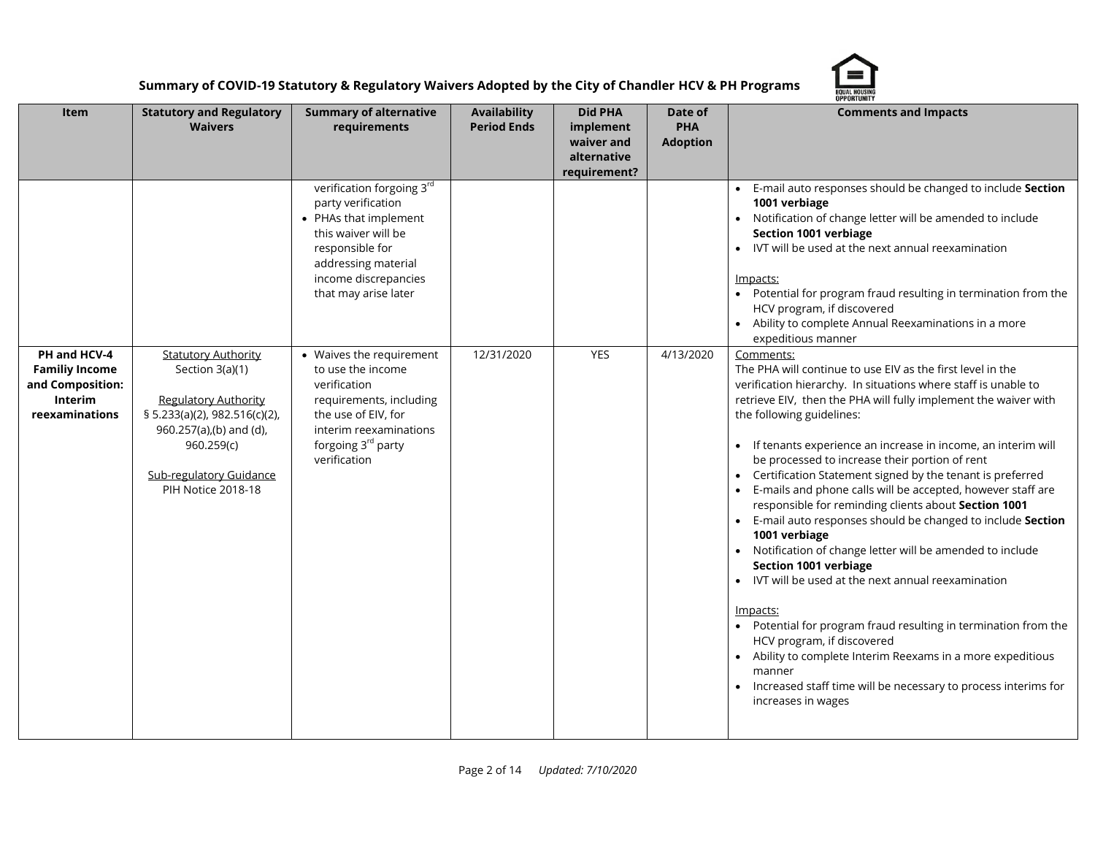

|                                                                               | <b>OPPORTUNITY</b>                                                                                                                                                               |                                                                                                                                                                                                                       |                                           |                                                                          |                                          |                                                                                                                                                                                                                                                                                                                                                                                                                                                                                                                                                                                                                                                                                                                                                                                                                                                                                                                                                                                                                                                                                      |  |
|-------------------------------------------------------------------------------|----------------------------------------------------------------------------------------------------------------------------------------------------------------------------------|-----------------------------------------------------------------------------------------------------------------------------------------------------------------------------------------------------------------------|-------------------------------------------|--------------------------------------------------------------------------|------------------------------------------|--------------------------------------------------------------------------------------------------------------------------------------------------------------------------------------------------------------------------------------------------------------------------------------------------------------------------------------------------------------------------------------------------------------------------------------------------------------------------------------------------------------------------------------------------------------------------------------------------------------------------------------------------------------------------------------------------------------------------------------------------------------------------------------------------------------------------------------------------------------------------------------------------------------------------------------------------------------------------------------------------------------------------------------------------------------------------------------|--|
| Item                                                                          | <b>Statutory and Regulatory</b><br><b>Waivers</b>                                                                                                                                | <b>Summary of alternative</b><br>requirements                                                                                                                                                                         | <b>Availability</b><br><b>Period Ends</b> | <b>Did PHA</b><br>implement<br>waiver and<br>alternative<br>requirement? | Date of<br><b>PHA</b><br><b>Adoption</b> | <b>Comments and Impacts</b>                                                                                                                                                                                                                                                                                                                                                                                                                                                                                                                                                                                                                                                                                                                                                                                                                                                                                                                                                                                                                                                          |  |
| PH and HCV-4                                                                  | <b>Statutory Authority</b>                                                                                                                                                       | verification forgoing 3rd<br>party verification<br>• PHAs that implement<br>this waiver will be<br>responsible for<br>addressing material<br>income discrepancies<br>that may arise later<br>• Waives the requirement | 12/31/2020                                | YES                                                                      | 4/13/2020                                | E-mail auto responses should be changed to include Section<br>1001 verbiage<br>Notification of change letter will be amended to include<br>Section 1001 verbiage<br>IVT will be used at the next annual reexamination<br>Impacts:<br>• Potential for program fraud resulting in termination from the<br>HCV program, if discovered<br>• Ability to complete Annual Reexaminations in a more<br>expeditious manner<br>Comments:                                                                                                                                                                                                                                                                                                                                                                                                                                                                                                                                                                                                                                                       |  |
| <b>Familiy Income</b><br>and Composition:<br><b>Interim</b><br>reexaminations | Section 3(a)(1)<br><b>Regulatory Authority</b><br>§ 5.233(a)(2), 982.516(c)(2),<br>960.257(a),(b) and (d),<br>960.259(c)<br><b>Sub-regulatory Guidance</b><br>PIH Notice 2018-18 | to use the income<br>verification<br>requirements, including<br>the use of EIV, for<br>interim reexaminations<br>forgoing 3 <sup>rd</sup> party<br>verification                                                       |                                           |                                                                          |                                          | The PHA will continue to use EIV as the first level in the<br>verification hierarchy. In situations where staff is unable to<br>retrieve EIV, then the PHA will fully implement the waiver with<br>the following guidelines:<br>• If tenants experience an increase in income, an interim will<br>be processed to increase their portion of rent<br>Certification Statement signed by the tenant is preferred<br>E-mails and phone calls will be accepted, however staff are<br>$\bullet$<br>responsible for reminding clients about Section 1001<br>• E-mail auto responses should be changed to include Section<br>1001 verbiage<br>Notification of change letter will be amended to include<br>$\bullet$<br>Section 1001 verbiage<br>• IVT will be used at the next annual reexamination<br>Impacts:<br>• Potential for program fraud resulting in termination from the<br>HCV program, if discovered<br>Ability to complete Interim Reexams in a more expeditious<br>$\bullet$<br>manner<br>Increased staff time will be necessary to process interims for<br>increases in wages |  |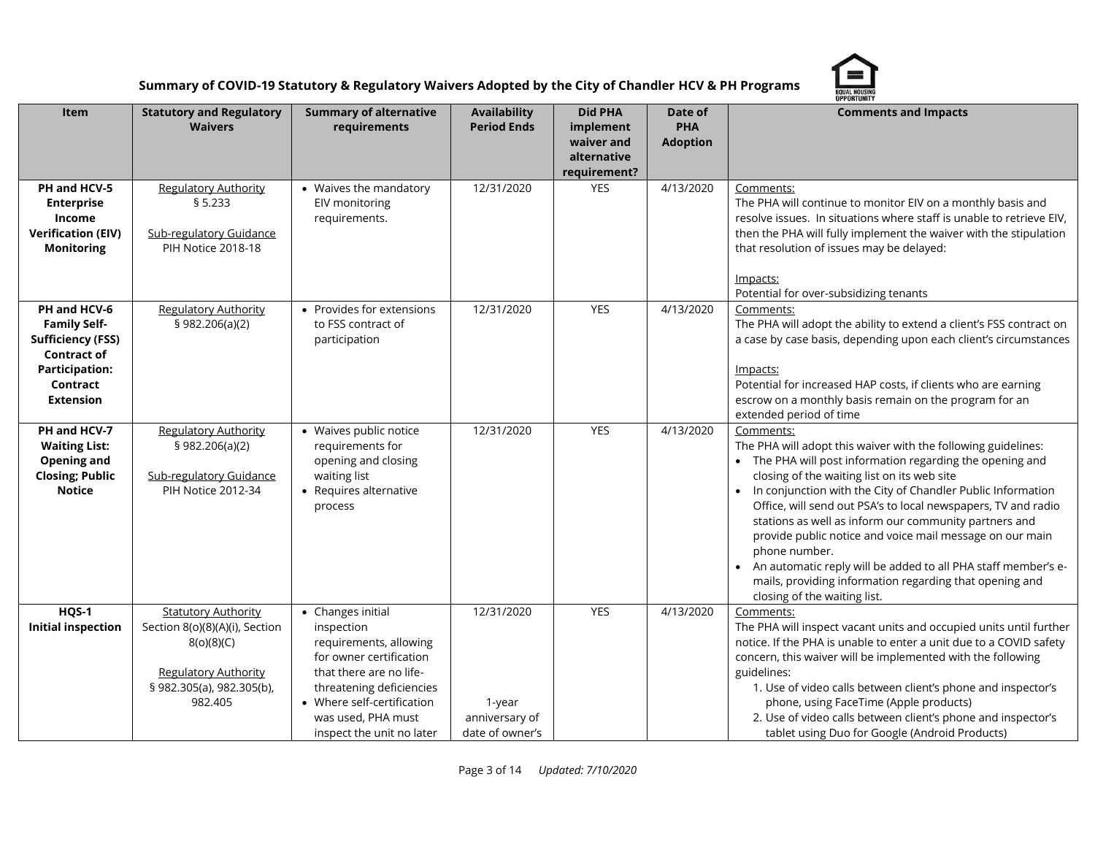

|                                                                                                                                                |                                                                                                                                                   |                                                                                                                                                                                                                              |                                                           |                                                                          |                                          | <b>OPPORTUNITY</b>                                                                                                                                                                                                                                                                                                                                                                                                                                                                                                                                                                                                           |
|------------------------------------------------------------------------------------------------------------------------------------------------|---------------------------------------------------------------------------------------------------------------------------------------------------|------------------------------------------------------------------------------------------------------------------------------------------------------------------------------------------------------------------------------|-----------------------------------------------------------|--------------------------------------------------------------------------|------------------------------------------|------------------------------------------------------------------------------------------------------------------------------------------------------------------------------------------------------------------------------------------------------------------------------------------------------------------------------------------------------------------------------------------------------------------------------------------------------------------------------------------------------------------------------------------------------------------------------------------------------------------------------|
| Item                                                                                                                                           | <b>Statutory and Regulatory</b><br><b>Waivers</b>                                                                                                 | <b>Summary of alternative</b><br>requirements                                                                                                                                                                                | <b>Availability</b><br><b>Period Ends</b>                 | <b>Did PHA</b><br>implement<br>waiver and<br>alternative<br>requirement? | Date of<br><b>PHA</b><br><b>Adoption</b> | <b>Comments and Impacts</b>                                                                                                                                                                                                                                                                                                                                                                                                                                                                                                                                                                                                  |
| PH and HCV-5<br><b>Enterprise</b><br>Income<br><b>Verification (EIV)</b><br><b>Monitoring</b>                                                  | <b>Regulatory Authority</b><br>\$5.233<br><b>Sub-regulatory Guidance</b><br><b>PIH Notice 2018-18</b>                                             | • Waives the mandatory<br>EIV monitoring<br>requirements.                                                                                                                                                                    | 12/31/2020                                                | <b>YES</b>                                                               | 4/13/2020                                | Comments:<br>The PHA will continue to monitor EIV on a monthly basis and<br>resolve issues. In situations where staff is unable to retrieve EIV,<br>then the PHA will fully implement the waiver with the stipulation<br>that resolution of issues may be delayed:<br>lmpacts:<br>Potential for over-subsidizing tenants                                                                                                                                                                                                                                                                                                     |
| PH and HCV-6<br><b>Family Self-</b><br><b>Sufficiency (FSS)</b><br><b>Contract of</b><br><b>Participation:</b><br>Contract<br><b>Extension</b> | <b>Regulatory Authority</b><br>§ 982.206(a)(2)                                                                                                    | • Provides for extensions<br>to FSS contract of<br>participation                                                                                                                                                             | 12/31/2020                                                | <b>YES</b>                                                               | 4/13/2020                                | Comments:<br>The PHA will adopt the ability to extend a client's FSS contract on<br>a case by case basis, depending upon each client's circumstances<br><u>lmpacts:</u><br>Potential for increased HAP costs, if clients who are earning<br>escrow on a monthly basis remain on the program for an<br>extended period of time                                                                                                                                                                                                                                                                                                |
| PH and HCV-7<br><b>Waiting List:</b><br>Opening and<br><b>Closing; Public</b><br><b>Notice</b>                                                 | <b>Regulatory Authority</b><br>§ 982.206(a)(2)<br><b>Sub-regulatory Guidance</b><br>PIH Notice 2012-34                                            | · Waives public notice<br>requirements for<br>opening and closing<br>waiting list<br>• Requires alternative<br>process                                                                                                       | 12/31/2020                                                | <b>YES</b>                                                               | 4/13/2020                                | Comments:<br>The PHA will adopt this waiver with the following guidelines:<br>• The PHA will post information regarding the opening and<br>closing of the waiting list on its web site<br>• In conjunction with the City of Chandler Public Information<br>Office, will send out PSA's to local newspapers, TV and radio<br>stations as well as inform our community partners and<br>provide public notice and voice mail message on our main<br>phone number.<br>• An automatic reply will be added to all PHA staff member's e-<br>mails, providing information regarding that opening and<br>closing of the waiting list. |
| HQS-1<br><b>Initial inspection</b>                                                                                                             | <b>Statutory Authority</b><br>Section 8(o)(8)(A)(i), Section<br>8(0)(8)(C)<br><b>Regulatory Authority</b><br>§ 982.305(a), 982.305(b),<br>982.405 | • Changes initial<br>inspection<br>requirements, allowing<br>for owner certification<br>that there are no life-<br>threatening deficiencies<br>• Where self-certification<br>was used, PHA must<br>inspect the unit no later | 12/31/2020<br>1-year<br>anniversary of<br>date of owner's | <b>YES</b>                                                               | 4/13/2020                                | Comments:<br>The PHA will inspect vacant units and occupied units until further<br>notice. If the PHA is unable to enter a unit due to a COVID safety<br>concern, this waiver will be implemented with the following<br>guidelines:<br>1. Use of video calls between client's phone and inspector's<br>phone, using FaceTime (Apple products)<br>2. Use of video calls between client's phone and inspector's<br>tablet using Duo for Google (Android Products)                                                                                                                                                              |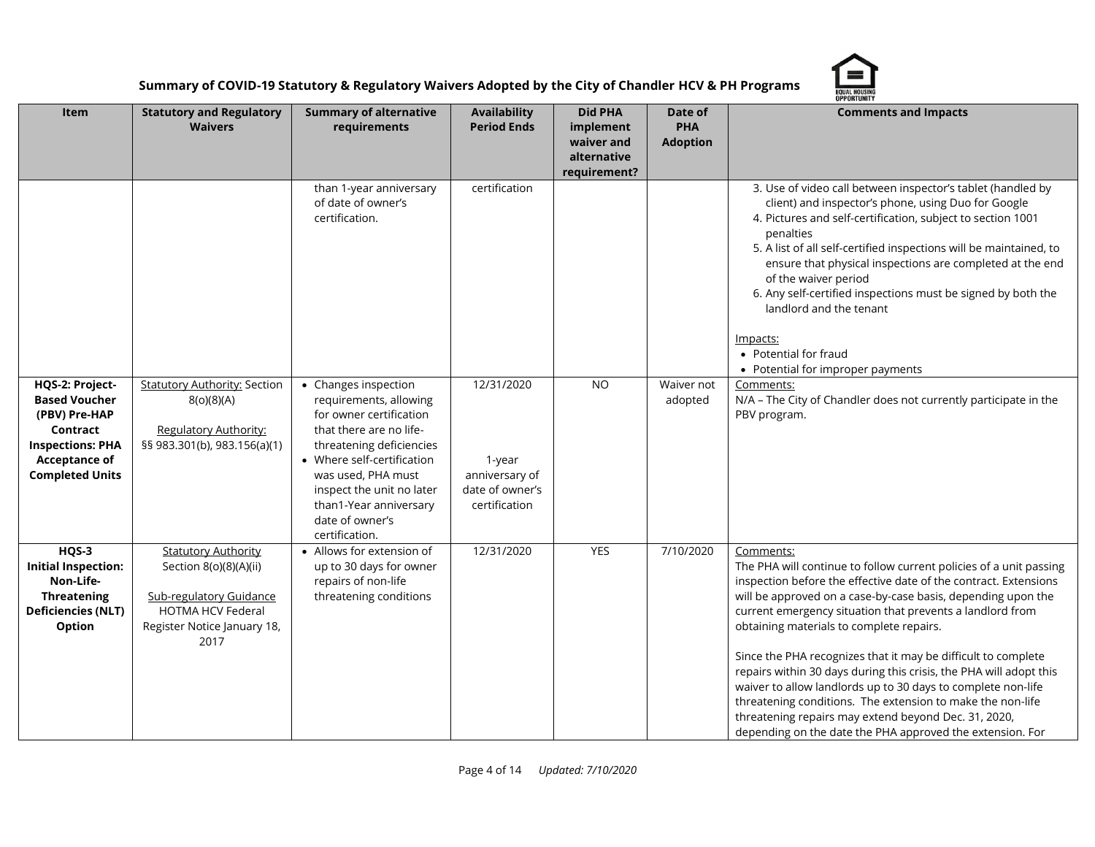

|                                                                                                                                                   | OPPORTUNITY                                                                                                                                               |                                                                                                                                                                                                                                                                                  |                                                                            |                                                                          |                                          |                                                                                                                                                                                                                                                                                                                                                                                                                                                                                                                                                                                                                                                                                                                        |  |
|---------------------------------------------------------------------------------------------------------------------------------------------------|-----------------------------------------------------------------------------------------------------------------------------------------------------------|----------------------------------------------------------------------------------------------------------------------------------------------------------------------------------------------------------------------------------------------------------------------------------|----------------------------------------------------------------------------|--------------------------------------------------------------------------|------------------------------------------|------------------------------------------------------------------------------------------------------------------------------------------------------------------------------------------------------------------------------------------------------------------------------------------------------------------------------------------------------------------------------------------------------------------------------------------------------------------------------------------------------------------------------------------------------------------------------------------------------------------------------------------------------------------------------------------------------------------------|--|
| Item                                                                                                                                              | <b>Statutory and Regulatory</b><br><b>Waivers</b>                                                                                                         | <b>Summary of alternative</b><br>requirements                                                                                                                                                                                                                                    | <b>Availability</b><br><b>Period Ends</b>                                  | <b>Did PHA</b><br>implement<br>waiver and<br>alternative<br>requirement? | Date of<br><b>PHA</b><br><b>Adoption</b> | <b>Comments and Impacts</b>                                                                                                                                                                                                                                                                                                                                                                                                                                                                                                                                                                                                                                                                                            |  |
|                                                                                                                                                   |                                                                                                                                                           | than 1-year anniversary<br>of date of owner's<br>certification.                                                                                                                                                                                                                  | certification                                                              |                                                                          |                                          | 3. Use of video call between inspector's tablet (handled by<br>client) and inspector's phone, using Duo for Google<br>4. Pictures and self-certification, subject to section 1001<br>penalties<br>5. A list of all self-certified inspections will be maintained, to<br>ensure that physical inspections are completed at the end<br>of the waiver period<br>6. Any self-certified inspections must be signed by both the<br>landlord and the tenant<br>Impacts:<br>• Potential for fraud<br>• Potential for improper payments                                                                                                                                                                                         |  |
| HQS-2: Project-<br><b>Based Voucher</b><br>(PBV) Pre-HAP<br>Contract<br><b>Inspections: PHA</b><br><b>Acceptance of</b><br><b>Completed Units</b> | <b>Statutory Authority: Section</b><br>8(0)(8)(A)<br><b>Regulatory Authority:</b><br>§§ 983.301(b), 983.156(a)(1)                                         | • Changes inspection<br>requirements, allowing<br>for owner certification<br>that there are no life-<br>threatening deficiencies<br>• Where self-certification<br>was used, PHA must<br>inspect the unit no later<br>than1-Year anniversary<br>date of owner's<br>certification. | 12/31/2020<br>1-year<br>anniversary of<br>date of owner's<br>certification | <b>NO</b>                                                                | Waiver not<br>adopted                    | Comments:<br>N/A - The City of Chandler does not currently participate in the<br>PBV program.                                                                                                                                                                                                                                                                                                                                                                                                                                                                                                                                                                                                                          |  |
| HQS-3<br><b>Initial Inspection:</b><br>Non-Life-<br><b>Threatening</b><br><b>Deficiencies (NLT)</b><br>Option                                     | <b>Statutory Authority</b><br>Section 8(o)(8)(A)(ii)<br><b>Sub-regulatory Guidance</b><br><b>HOTMA HCV Federal</b><br>Register Notice January 18,<br>2017 | • Allows for extension of<br>up to 30 days for owner<br>repairs of non-life<br>threatening conditions                                                                                                                                                                            | 12/31/2020                                                                 | <b>YES</b>                                                               | 7/10/2020                                | Comments:<br>The PHA will continue to follow current policies of a unit passing<br>inspection before the effective date of the contract. Extensions<br>will be approved on a case-by-case basis, depending upon the<br>current emergency situation that prevents a landlord from<br>obtaining materials to complete repairs.<br>Since the PHA recognizes that it may be difficult to complete<br>repairs within 30 days during this crisis, the PHA will adopt this<br>waiver to allow landlords up to 30 days to complete non-life<br>threatening conditions. The extension to make the non-life<br>threatening repairs may extend beyond Dec. 31, 2020,<br>depending on the date the PHA approved the extension. For |  |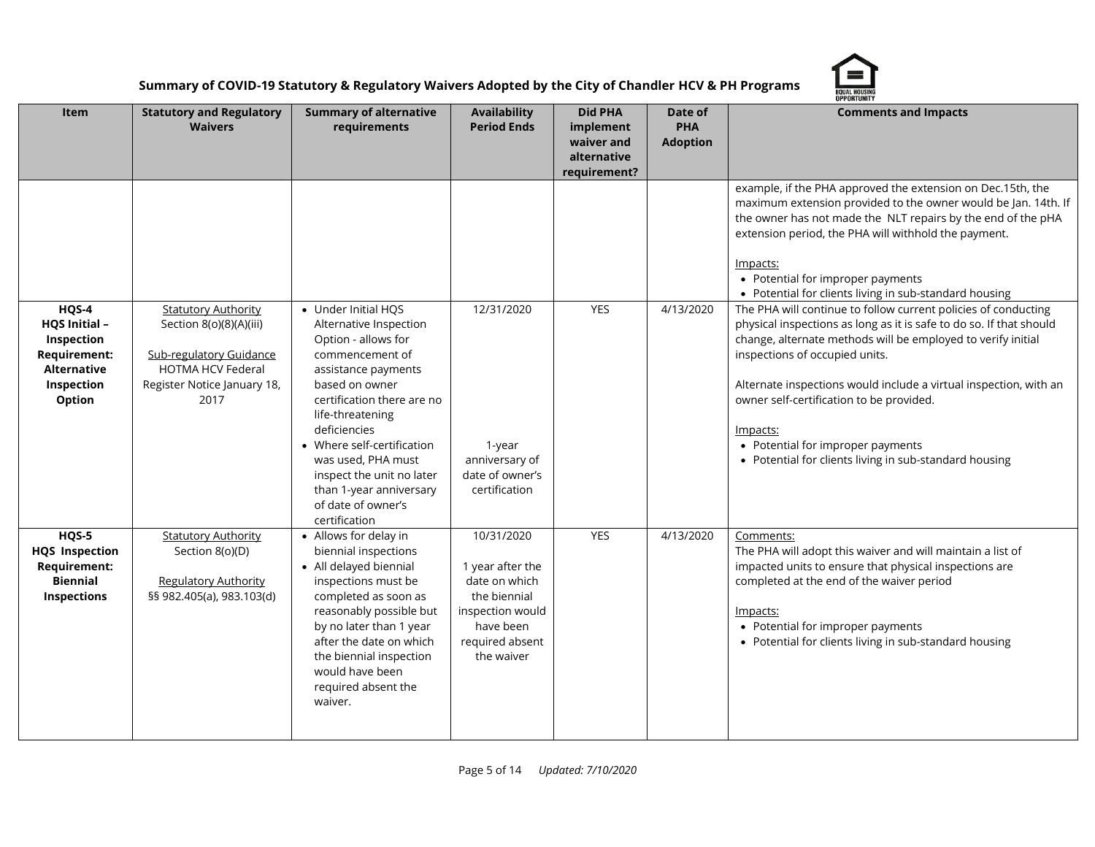

|                                                                                                                  | <b>OPPORTUNITY</b>                                                                                                                                         |                                                                                                                                                                                                                                                                                                                                                       |                                                                                                                                   |                                                                          |                                          |                                                                                                                                                                                                                                                                                                                                                                                                                                                                     |  |
|------------------------------------------------------------------------------------------------------------------|------------------------------------------------------------------------------------------------------------------------------------------------------------|-------------------------------------------------------------------------------------------------------------------------------------------------------------------------------------------------------------------------------------------------------------------------------------------------------------------------------------------------------|-----------------------------------------------------------------------------------------------------------------------------------|--------------------------------------------------------------------------|------------------------------------------|---------------------------------------------------------------------------------------------------------------------------------------------------------------------------------------------------------------------------------------------------------------------------------------------------------------------------------------------------------------------------------------------------------------------------------------------------------------------|--|
| Item                                                                                                             | <b>Statutory and Regulatory</b><br><b>Waivers</b>                                                                                                          | <b>Summary of alternative</b><br>requirements                                                                                                                                                                                                                                                                                                         | <b>Availability</b><br><b>Period Ends</b>                                                                                         | <b>Did PHA</b><br>implement<br>waiver and<br>alternative<br>requirement? | Date of<br><b>PHA</b><br><b>Adoption</b> | <b>Comments and Impacts</b>                                                                                                                                                                                                                                                                                                                                                                                                                                         |  |
|                                                                                                                  |                                                                                                                                                            |                                                                                                                                                                                                                                                                                                                                                       |                                                                                                                                   |                                                                          |                                          | example, if the PHA approved the extension on Dec.15th, the<br>maximum extension provided to the owner would be Jan. 14th. If<br>the owner has not made the NLT repairs by the end of the pHA<br>extension period, the PHA will withhold the payment.<br>Impacts:<br>• Potential for improper payments<br>• Potential for clients living in sub-standard housing                                                                                                    |  |
| HQS-4<br><b>HQS Initial -</b><br>Inspection<br><b>Requirement:</b><br><b>Alternative</b><br>Inspection<br>Option | <b>Statutory Authority</b><br>Section 8(o)(8)(A)(iii)<br><b>Sub-regulatory Guidance</b><br><b>HOTMA HCV Federal</b><br>Register Notice January 18,<br>2017 | • Under Initial HQS<br>Alternative Inspection<br>Option - allows for<br>commencement of<br>assistance payments<br>based on owner<br>certification there are no<br>life-threatening<br>deficiencies<br>• Where self-certification<br>was used, PHA must<br>inspect the unit no later<br>than 1-year anniversary<br>of date of owner's<br>certification | 12/31/2020<br>1-year<br>anniversary of<br>date of owner's<br>certification                                                        | <b>YES</b>                                                               | 4/13/2020                                | The PHA will continue to follow current policies of conducting<br>physical inspections as long as it is safe to do so. If that should<br>change, alternate methods will be employed to verify initial<br>inspections of occupied units.<br>Alternate inspections would include a virtual inspection, with an<br>owner self-certification to be provided.<br>Impacts:<br>• Potential for improper payments<br>• Potential for clients living in sub-standard housing |  |
| $HQS-5$<br><b>HQS</b> Inspection<br><b>Requirement:</b><br><b>Biennial</b><br>Inspections                        | <b>Statutory Authority</b><br>Section 8(o)(D)<br><b>Regulatory Authority</b><br>§§ 982.405(a), 983.103(d)                                                  | • Allows for delay in<br>biennial inspections<br>• All delayed biennial<br>inspections must be<br>completed as soon as<br>reasonably possible but<br>by no later than 1 year<br>after the date on which<br>the biennial inspection<br>would have been<br>required absent the<br>waiver.                                                               | 10/31/2020<br>1 year after the<br>date on which<br>the biennial<br>inspection would<br>have been<br>required absent<br>the waiver | YES                                                                      | 4/13/2020                                | Comments:<br>The PHA will adopt this waiver and will maintain a list of<br>impacted units to ensure that physical inspections are<br>completed at the end of the waiver period<br>Impacts:<br>• Potential for improper payments<br>• Potential for clients living in sub-standard housing                                                                                                                                                                           |  |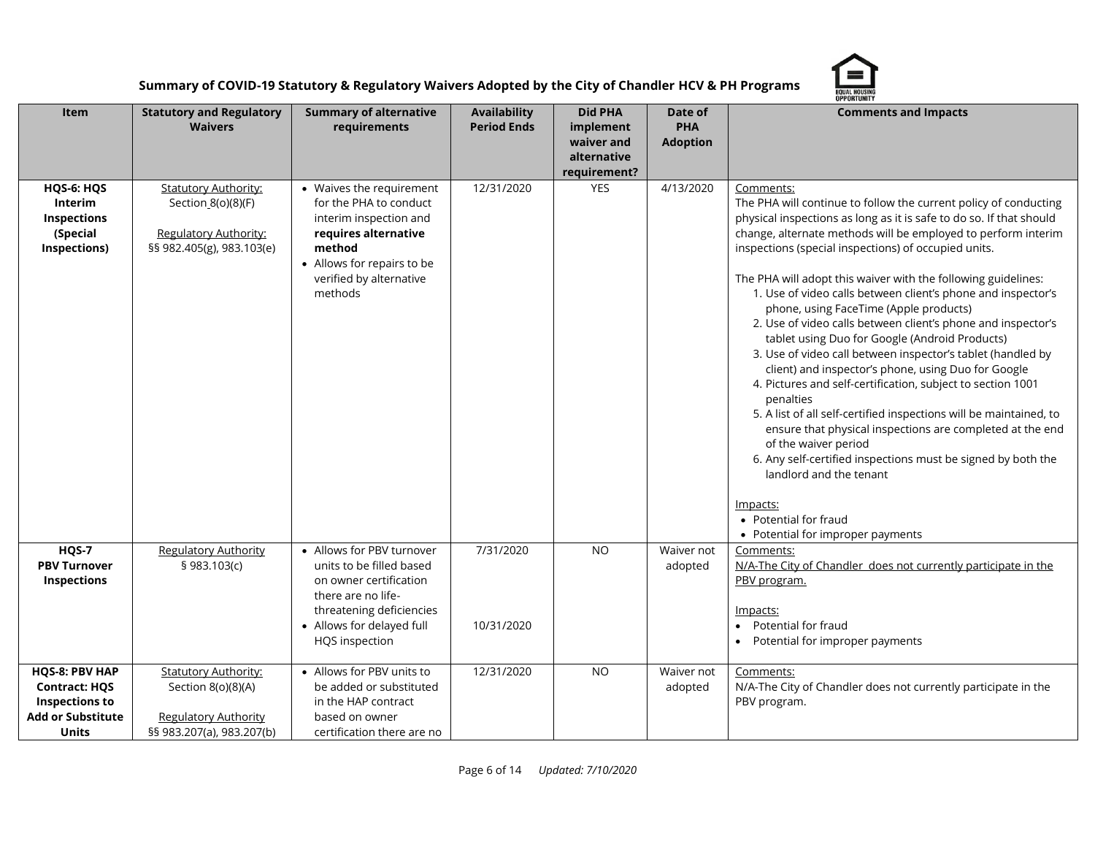

|                                                                                                             |                                                                                                                |                                                                                                                                                                                    |                                           |                                                                          |                                          | OPPORTUNITY                                                                                                                                                                                                                                                                                                                                                                                                                                                                                                                                                                                                                                                                                                                                                                                                                                                                                                                                                                                                                                                                                                  |
|-------------------------------------------------------------------------------------------------------------|----------------------------------------------------------------------------------------------------------------|------------------------------------------------------------------------------------------------------------------------------------------------------------------------------------|-------------------------------------------|--------------------------------------------------------------------------|------------------------------------------|--------------------------------------------------------------------------------------------------------------------------------------------------------------------------------------------------------------------------------------------------------------------------------------------------------------------------------------------------------------------------------------------------------------------------------------------------------------------------------------------------------------------------------------------------------------------------------------------------------------------------------------------------------------------------------------------------------------------------------------------------------------------------------------------------------------------------------------------------------------------------------------------------------------------------------------------------------------------------------------------------------------------------------------------------------------------------------------------------------------|
| Item                                                                                                        | <b>Statutory and Regulatory</b><br><b>Waivers</b>                                                              | <b>Summary of alternative</b><br>requirements                                                                                                                                      | <b>Availability</b><br><b>Period Ends</b> | <b>Did PHA</b><br>implement<br>waiver and<br>alternative<br>requirement? | Date of<br><b>PHA</b><br><b>Adoption</b> | <b>Comments and Impacts</b>                                                                                                                                                                                                                                                                                                                                                                                                                                                                                                                                                                                                                                                                                                                                                                                                                                                                                                                                                                                                                                                                                  |
| HQS-6: HQS<br><b>Interim</b><br>Inspections<br>(Special<br>Inspections)                                     | <b>Statutory Authority:</b><br>Section_8(o)(8)(F)<br><b>Regulatory Authority:</b><br>§§ 982.405(g), 983.103(e) | • Waives the requirement<br>for the PHA to conduct<br>interim inspection and<br>requires alternative<br>method<br>• Allows for repairs to be<br>verified by alternative<br>methods | 12/31/2020                                | <b>YES</b>                                                               | 4/13/2020                                | Comments:<br>The PHA will continue to follow the current policy of conducting<br>physical inspections as long as it is safe to do so. If that should<br>change, alternate methods will be employed to perform interim<br>inspections (special inspections) of occupied units.<br>The PHA will adopt this waiver with the following guidelines:<br>1. Use of video calls between client's phone and inspector's<br>phone, using FaceTime (Apple products)<br>2. Use of video calls between client's phone and inspector's<br>tablet using Duo for Google (Android Products)<br>3. Use of video call between inspector's tablet (handled by<br>client) and inspector's phone, using Duo for Google<br>4. Pictures and self-certification, subject to section 1001<br>penalties<br>5. A list of all self-certified inspections will be maintained, to<br>ensure that physical inspections are completed at the end<br>of the waiver period<br>6. Any self-certified inspections must be signed by both the<br>landlord and the tenant<br>Impacts:<br>• Potential for fraud<br>• Potential for improper payments |
| HQS-7<br><b>PBV Turnover</b><br>Inspections                                                                 | <b>Regulatory Authority</b><br>§ 983.103(c)                                                                    | • Allows for PBV turnover<br>units to be filled based<br>on owner certification<br>there are no life-<br>threatening deficiencies<br>• Allows for delayed full<br>HQS inspection   | 7/31/2020<br>10/31/2020                   | <b>NO</b>                                                                | Waiver not<br>adopted                    | Comments:<br>N/A-The City of Chandler does not currently participate in the<br>PBV program.<br>Impacts:<br>Potential for fraud<br>• Potential for improper payments                                                                                                                                                                                                                                                                                                                                                                                                                                                                                                                                                                                                                                                                                                                                                                                                                                                                                                                                          |
| HQS-8: PBV HAP<br><b>Contract: HQS</b><br><b>Inspections to</b><br><b>Add or Substitute</b><br><b>Units</b> | <b>Statutory Authority:</b><br>Section 8(o)(8)(A)<br><b>Regulatory Authority</b><br>§§ 983.207(a), 983.207(b)  | • Allows for PBV units to<br>be added or substituted<br>in the HAP contract<br>based on owner<br>certification there are no                                                        | 12/31/2020                                | <b>NO</b>                                                                | Waiver not<br>adopted                    | Comments:<br>N/A-The City of Chandler does not currently participate in the<br>PBV program.                                                                                                                                                                                                                                                                                                                                                                                                                                                                                                                                                                                                                                                                                                                                                                                                                                                                                                                                                                                                                  |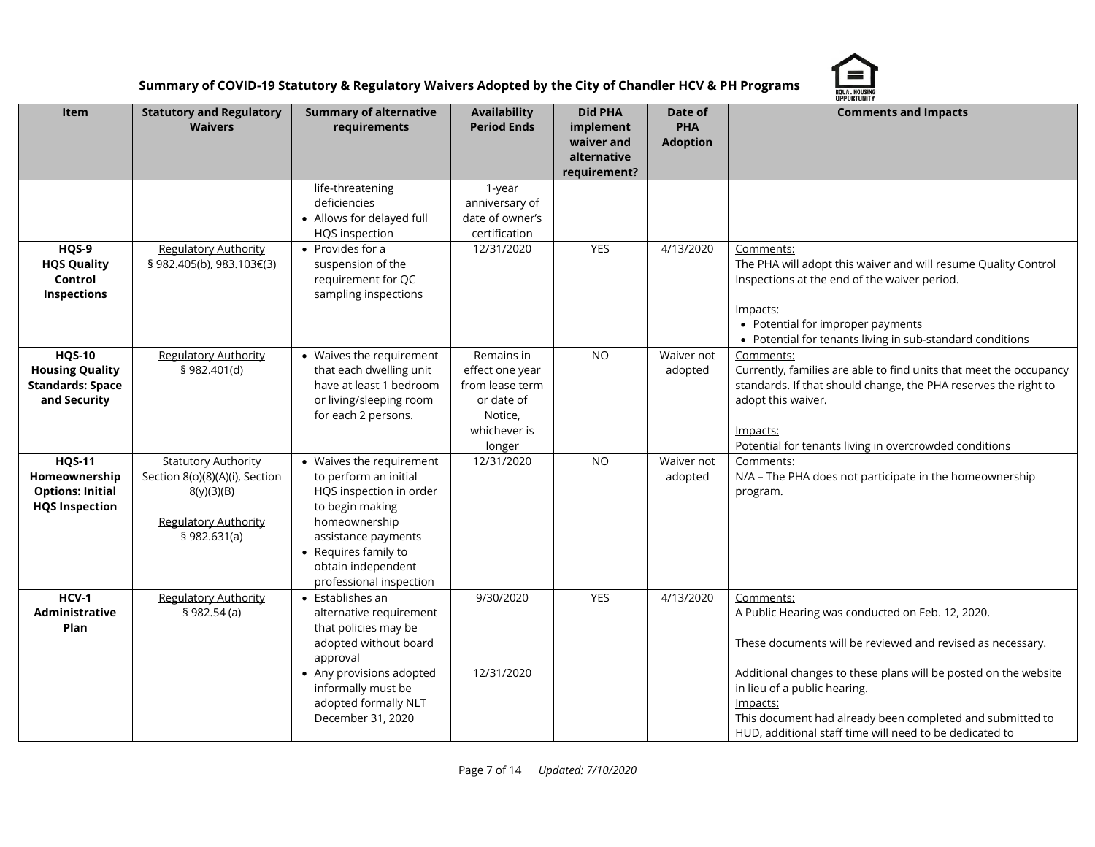

|                                                                                    |                                                                                                                           |                                                                                                                                                                                                                  |                                                                                                     |                                                                          |                                          | <b>OPPORTUNITY</b>                                                                                                                                                                                                                                                                                                                                                 |
|------------------------------------------------------------------------------------|---------------------------------------------------------------------------------------------------------------------------|------------------------------------------------------------------------------------------------------------------------------------------------------------------------------------------------------------------|-----------------------------------------------------------------------------------------------------|--------------------------------------------------------------------------|------------------------------------------|--------------------------------------------------------------------------------------------------------------------------------------------------------------------------------------------------------------------------------------------------------------------------------------------------------------------------------------------------------------------|
| Item                                                                               | <b>Statutory and Regulatory</b><br><b>Waivers</b>                                                                         | <b>Summary of alternative</b><br>requirements                                                                                                                                                                    | <b>Availability</b><br><b>Period Ends</b>                                                           | <b>Did PHA</b><br>implement<br>waiver and<br>alternative<br>requirement? | Date of<br><b>PHA</b><br><b>Adoption</b> | <b>Comments and Impacts</b>                                                                                                                                                                                                                                                                                                                                        |
|                                                                                    |                                                                                                                           | life-threatening<br>deficiencies<br>• Allows for delayed full<br>HQS inspection                                                                                                                                  | 1-year<br>anniversary of<br>date of owner's<br>certification                                        |                                                                          |                                          |                                                                                                                                                                                                                                                                                                                                                                    |
| HQS-9<br><b>HQS Quality</b><br>Control<br>Inspections                              | <b>Regulatory Authority</b><br>§ 982.405(b), 983.103€(3)                                                                  | • Provides for a<br>suspension of the<br>requirement for QC<br>sampling inspections                                                                                                                              | 12/31/2020                                                                                          | <b>YES</b>                                                               | 4/13/2020                                | Comments:<br>The PHA will adopt this waiver and will resume Quality Control<br>Inspections at the end of the waiver period.<br>Impacts:<br>• Potential for improper payments<br>• Potential for tenants living in sub-standard conditions                                                                                                                          |
| <b>HQS-10</b><br><b>Housing Quality</b><br><b>Standards: Space</b><br>and Security | <b>Regulatory Authority</b><br>§ 982.401(d)                                                                               | • Waives the requirement<br>that each dwelling unit<br>have at least 1 bedroom<br>or living/sleeping room<br>for each 2 persons.                                                                                 | Remains in<br>effect one year<br>from lease term<br>or date of<br>Notice,<br>whichever is<br>longer | <b>NO</b>                                                                | Waiver not<br>adopted                    | Comments:<br>Currently, families are able to find units that meet the occupancy<br>standards. If that should change, the PHA reserves the right to<br>adopt this waiver.<br>Impacts:<br>Potential for tenants living in overcrowded conditions                                                                                                                     |
| <b>HQS-11</b><br>Homeownership<br><b>Options: Initial</b><br><b>HQS Inspection</b> | <b>Statutory Authority</b><br>Section 8(o)(8)(A)(i), Section<br>8(y)(3)(B)<br><b>Regulatory Authority</b><br>\$982.631(a) | • Waives the requirement<br>to perform an initial<br>HQS inspection in order<br>to begin making<br>homeownership<br>assistance payments<br>• Requires family to<br>obtain independent<br>professional inspection | 12/31/2020                                                                                          | <b>NO</b>                                                                | Waiver not<br>adopted                    | Comments:<br>N/A - The PHA does not participate in the homeownership<br>program.                                                                                                                                                                                                                                                                                   |
| $HCV-1$<br>Administrative<br>Plan                                                  | <b>Regulatory Authority</b><br>\$982.54(a)                                                                                | $\bullet$ Establishes an<br>alternative requirement<br>that policies may be<br>adopted without board<br>approval<br>• Any provisions adopted<br>informally must be<br>adopted formally NLT<br>December 31, 2020  | 9/30/2020<br>12/31/2020                                                                             | <b>YES</b>                                                               | 4/13/2020                                | Comments:<br>A Public Hearing was conducted on Feb. 12, 2020.<br>These documents will be reviewed and revised as necessary.<br>Additional changes to these plans will be posted on the website<br>in lieu of a public hearing.<br>Impacts:<br>This document had already been completed and submitted to<br>HUD, additional staff time will need to be dedicated to |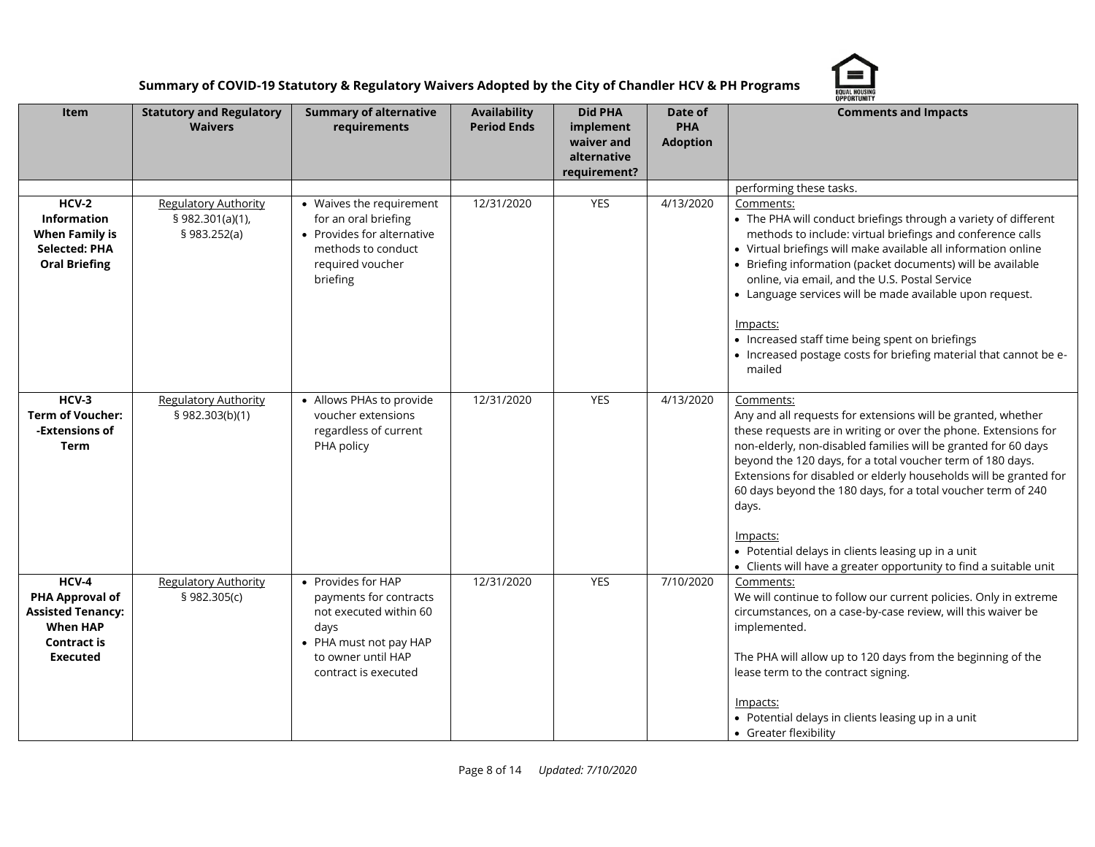

|                                                                                                                  | <b>OPPORTUNITY</b>                                              |                                                                                                                                                        |                                           |                                                                          |                                          |                                                                                                                                                                                                                                                                                                                                                                                                                                                                                                                                                                          |  |
|------------------------------------------------------------------------------------------------------------------|-----------------------------------------------------------------|--------------------------------------------------------------------------------------------------------------------------------------------------------|-------------------------------------------|--------------------------------------------------------------------------|------------------------------------------|--------------------------------------------------------------------------------------------------------------------------------------------------------------------------------------------------------------------------------------------------------------------------------------------------------------------------------------------------------------------------------------------------------------------------------------------------------------------------------------------------------------------------------------------------------------------------|--|
| Item                                                                                                             | <b>Statutory and Regulatory</b><br><b>Waivers</b>               | <b>Summary of alternative</b><br>requirements                                                                                                          | <b>Availability</b><br><b>Period Ends</b> | <b>Did PHA</b><br>implement<br>waiver and<br>alternative<br>requirement? | Date of<br><b>PHA</b><br><b>Adoption</b> | <b>Comments and Impacts</b>                                                                                                                                                                                                                                                                                                                                                                                                                                                                                                                                              |  |
|                                                                                                                  |                                                                 |                                                                                                                                                        |                                           |                                                                          |                                          | performing these tasks.                                                                                                                                                                                                                                                                                                                                                                                                                                                                                                                                                  |  |
| $HCV-2$<br><b>Information</b><br><b>When Family is</b><br><b>Selected: PHA</b><br><b>Oral Briefing</b>           | <b>Regulatory Authority</b><br>§ 982.301(a)(1),<br>§ 983.252(a) | • Waives the requirement<br>for an oral briefing<br>• Provides for alternative<br>methods to conduct<br>required voucher<br>briefing                   | 12/31/2020                                | YES                                                                      | 4/13/2020                                | Comments:<br>• The PHA will conduct briefings through a variety of different<br>methods to include: virtual briefings and conference calls<br>• Virtual briefings will make available all information online<br>• Briefing information (packet documents) will be available<br>online, via email, and the U.S. Postal Service<br>• Language services will be made available upon request.<br>Impacts:<br>• Increased staff time being spent on briefings<br>• Increased postage costs for briefing material that cannot be e-<br>mailed                                  |  |
| HCV-3<br><b>Term of Voucher:</b><br>-Extensions of<br><b>Term</b>                                                | <b>Regulatory Authority</b><br>§ 982.303(b)(1)                  | • Allows PHAs to provide<br>voucher extensions<br>regardless of current<br>PHA policy                                                                  | 12/31/2020                                | <b>YES</b>                                                               | 4/13/2020                                | Comments:<br>Any and all requests for extensions will be granted, whether<br>these requests are in writing or over the phone. Extensions for<br>non-elderly, non-disabled families will be granted for 60 days<br>beyond the 120 days, for a total voucher term of 180 days.<br>Extensions for disabled or elderly households will be granted for<br>60 days beyond the 180 days, for a total voucher term of 240<br>days.<br><u>Impacts:</u><br>• Potential delays in clients leasing up in a unit<br>• Clients will have a greater opportunity to find a suitable unit |  |
| HCV-4<br>PHA Approval of<br><b>Assisted Tenancy:</b><br><b>When HAP</b><br><b>Contract is</b><br><b>Executed</b> | <b>Regulatory Authority</b><br>§ 982.305(c)                     | • Provides for HAP<br>payments for contracts<br>not executed within 60<br>days<br>• PHA must not pay HAP<br>to owner until HAP<br>contract is executed | 12/31/2020                                | YES                                                                      | 7/10/2020                                | Comments:<br>We will continue to follow our current policies. Only in extreme<br>circumstances, on a case-by-case review, will this waiver be<br>implemented.<br>The PHA will allow up to 120 days from the beginning of the<br>lease term to the contract signing.<br>Impacts:<br>• Potential delays in clients leasing up in a unit<br>• Greater flexibility                                                                                                                                                                                                           |  |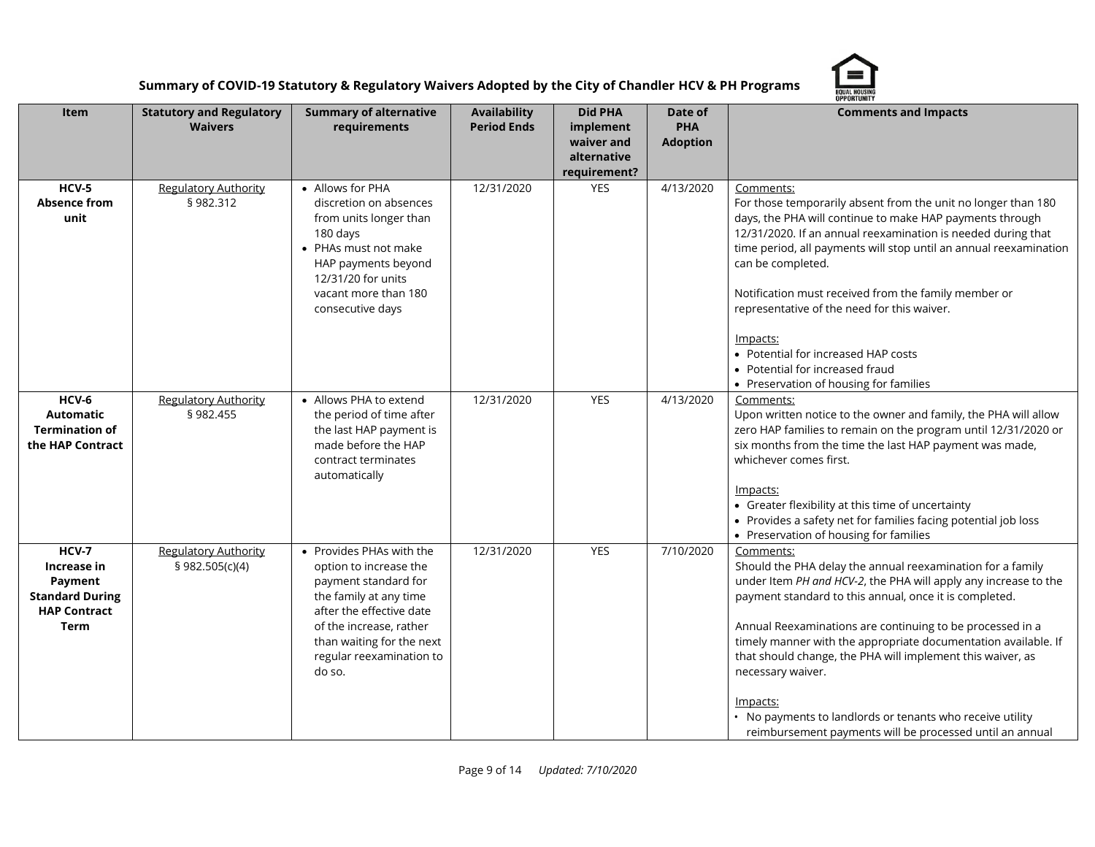

|                                                                                                        | <b>OPPORTUNITY</b>                                |                                                                                                                                                                                                                                |                                    |                                                                          |                                          |                                                                                                                                                                                                                                                                                                                                                                                                                                                                                                                                                             |  |
|--------------------------------------------------------------------------------------------------------|---------------------------------------------------|--------------------------------------------------------------------------------------------------------------------------------------------------------------------------------------------------------------------------------|------------------------------------|--------------------------------------------------------------------------|------------------------------------------|-------------------------------------------------------------------------------------------------------------------------------------------------------------------------------------------------------------------------------------------------------------------------------------------------------------------------------------------------------------------------------------------------------------------------------------------------------------------------------------------------------------------------------------------------------------|--|
| <b>Item</b>                                                                                            | <b>Statutory and Regulatory</b><br><b>Waivers</b> | <b>Summary of alternative</b><br>requirements                                                                                                                                                                                  | Availability<br><b>Period Ends</b> | <b>Did PHA</b><br>implement<br>waiver and<br>alternative<br>requirement? | Date of<br><b>PHA</b><br><b>Adoption</b> | <b>Comments and Impacts</b>                                                                                                                                                                                                                                                                                                                                                                                                                                                                                                                                 |  |
| $HCV-5$<br><b>Absence from</b><br>unit                                                                 | <b>Regulatory Authority</b><br>§982.312           | • Allows for PHA<br>discretion on absences<br>from units longer than<br>180 days<br>• PHAs must not make<br>HAP payments beyond<br>12/31/20 for units<br>vacant more than 180<br>consecutive days                              | 12/31/2020                         | YES                                                                      | 4/13/2020                                | Comments:<br>For those temporarily absent from the unit no longer than 180<br>days, the PHA will continue to make HAP payments through<br>12/31/2020. If an annual reexamination is needed during that<br>time period, all payments will stop until an annual reexamination<br>can be completed.<br>Notification must received from the family member or<br>representative of the need for this waiver.<br>Impacts:<br>• Potential for increased HAP costs<br>• Potential for increased fraud<br>• Preservation of housing for families                     |  |
| HCV-6<br><b>Automatic</b><br><b>Termination of</b><br>the HAP Contract                                 | <b>Regulatory Authority</b><br>§ 982.455          | • Allows PHA to extend<br>the period of time after<br>the last HAP payment is<br>made before the HAP<br>contract terminates<br>automatically                                                                                   | 12/31/2020                         | YES                                                                      | 4/13/2020                                | Comments:<br>Upon written notice to the owner and family, the PHA will allow<br>zero HAP families to remain on the program until 12/31/2020 or<br>six months from the time the last HAP payment was made,<br>whichever comes first.<br>Impacts:<br>• Greater flexibility at this time of uncertainty<br>• Provides a safety net for families facing potential job loss<br>• Preservation of housing for families                                                                                                                                            |  |
| <b>HCV-7</b><br>Increase in<br>Payment<br><b>Standard During</b><br><b>HAP Contract</b><br><b>Term</b> | <b>Regulatory Authority</b><br>§ 982.505(c)(4)    | • Provides PHAs with the<br>option to increase the<br>payment standard for<br>the family at any time<br>after the effective date<br>of the increase, rather<br>than waiting for the next<br>regular reexamination to<br>do so. | 12/31/2020                         | <b>YES</b>                                                               | 7/10/2020                                | Comments:<br>Should the PHA delay the annual reexamination for a family<br>under Item PH and HCV-2, the PHA will apply any increase to the<br>payment standard to this annual, once it is completed.<br>Annual Reexaminations are continuing to be processed in a<br>timely manner with the appropriate documentation available. If<br>that should change, the PHA will implement this waiver, as<br>necessary waiver.<br>Impacts:<br>• No payments to landlords or tenants who receive utility<br>reimbursement payments will be processed until an annual |  |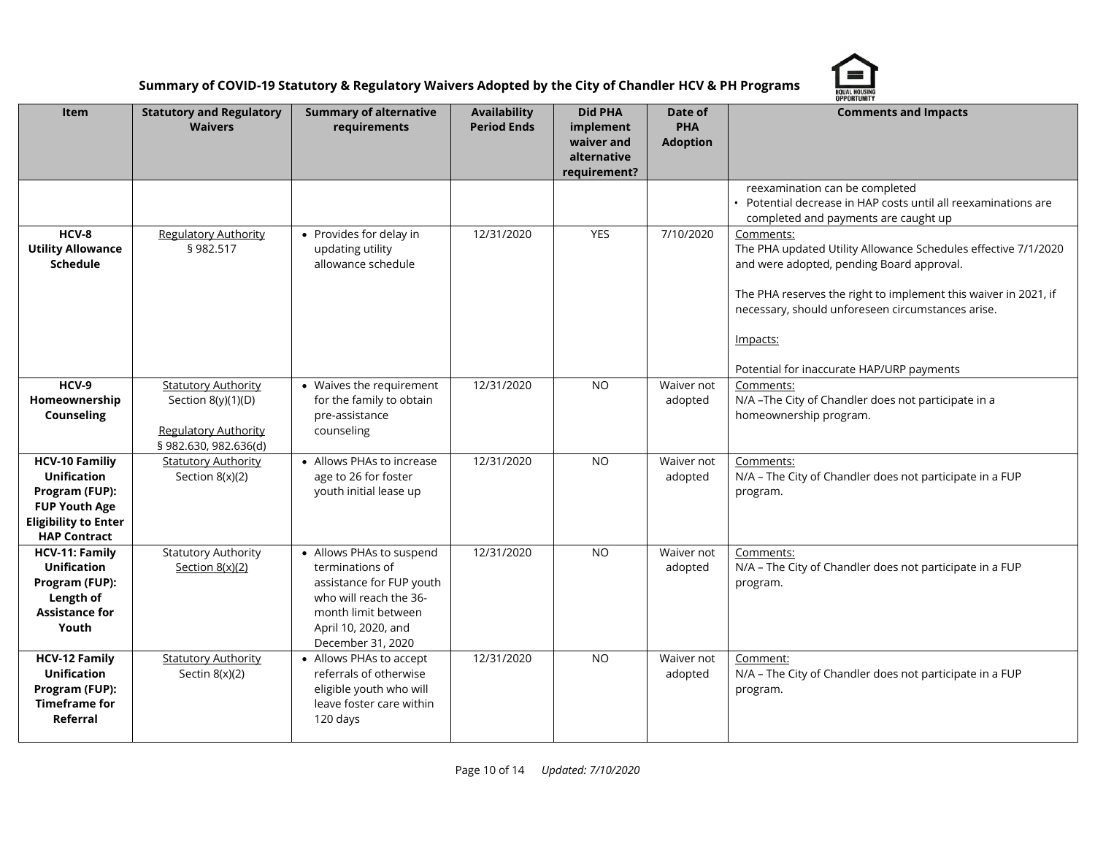

|                                                                                                                                             | <b>OPPORTUNITY</b>                                                                                       |                                                                                                                                                                      |                                           |                                                                          |                                          |                                                                                                                                                                                                                                                                                                           |  |
|---------------------------------------------------------------------------------------------------------------------------------------------|----------------------------------------------------------------------------------------------------------|----------------------------------------------------------------------------------------------------------------------------------------------------------------------|-------------------------------------------|--------------------------------------------------------------------------|------------------------------------------|-----------------------------------------------------------------------------------------------------------------------------------------------------------------------------------------------------------------------------------------------------------------------------------------------------------|--|
| Item                                                                                                                                        | <b>Statutory and Regulatory</b><br><b>Waivers</b>                                                        | <b>Summary of alternative</b><br>requirements                                                                                                                        | <b>Availability</b><br><b>Period Ends</b> | <b>Did PHA</b><br>implement<br>waiver and<br>alternative<br>requirement? | Date of<br><b>PHA</b><br><b>Adoption</b> | <b>Comments and Impacts</b>                                                                                                                                                                                                                                                                               |  |
|                                                                                                                                             |                                                                                                          |                                                                                                                                                                      |                                           |                                                                          |                                          | reexamination can be completed<br>Potential decrease in HAP costs until all reexaminations are<br>completed and payments are caught up                                                                                                                                                                    |  |
| HCV-8<br><b>Utility Allowance</b><br>Schedule                                                                                               | <b>Regulatory Authority</b><br>§982.517                                                                  | • Provides for delay in<br>updating utility<br>allowance schedule                                                                                                    | 12/31/2020                                | YES                                                                      | 7/10/2020                                | Comments:<br>The PHA updated Utility Allowance Schedules effective 7/1/2020<br>and were adopted, pending Board approval.<br>The PHA reserves the right to implement this waiver in 2021, if<br>necessary, should unforeseen circumstances arise.<br>Impacts:<br>Potential for inaccurate HAP/URP payments |  |
| $HCV-9$<br>Homeownership<br><b>Counseling</b>                                                                                               | <b>Statutory Authority</b><br>Section 8(y)(1)(D)<br><b>Regulatory Authority</b><br>§ 982.630, 982.636(d) | • Waives the requirement<br>for the family to obtain<br>pre-assistance<br>counseling                                                                                 | 12/31/2020                                | <b>NO</b>                                                                | Waiver not<br>adopted                    | Comments:<br>N/A-The City of Chandler does not participate in a<br>homeownership program.                                                                                                                                                                                                                 |  |
| <b>HCV-10 Familiy</b><br><b>Unification</b><br>Program (FUP):<br><b>FUP Youth Age</b><br><b>Eligibility to Enter</b><br><b>HAP Contract</b> | <b>Statutory Authority</b><br>Section $8(x)(2)$                                                          | • Allows PHAs to increase<br>age to 26 for foster<br>youth initial lease up                                                                                          | 12/31/2020                                | <b>NO</b>                                                                | Waiver not<br>adopted                    | Comments:<br>N/A - The City of Chandler does not participate in a FUP<br>program.                                                                                                                                                                                                                         |  |
| HCV-11: Family<br><b>Unification</b><br>Program (FUP):<br>Length of<br><b>Assistance for</b><br>Youth                                       | <b>Statutory Authority</b><br>Section $8(x)(2)$                                                          | • Allows PHAs to suspend<br>terminations of<br>assistance for FUP youth<br>who will reach the 36-<br>month limit between<br>April 10, 2020, and<br>December 31, 2020 | 12/31/2020                                | <b>NO</b>                                                                | Waiver not<br>adopted                    | Comments:<br>N/A - The City of Chandler does not participate in a FUP<br>program.                                                                                                                                                                                                                         |  |
| <b>HCV-12 Family</b><br><b>Unification</b><br>Program (FUP):<br><b>Timeframe for</b><br>Referral                                            | <b>Statutory Authority</b><br>Sectin $8(x)(2)$                                                           | • Allows PHAs to accept<br>referrals of otherwise<br>eligible youth who will<br>leave foster care within<br>120 days                                                 | 12/31/2020                                | <b>NO</b>                                                                | Waiver not<br>adopted                    | Comment:<br>N/A - The City of Chandler does not participate in a FUP<br>program.                                                                                                                                                                                                                          |  |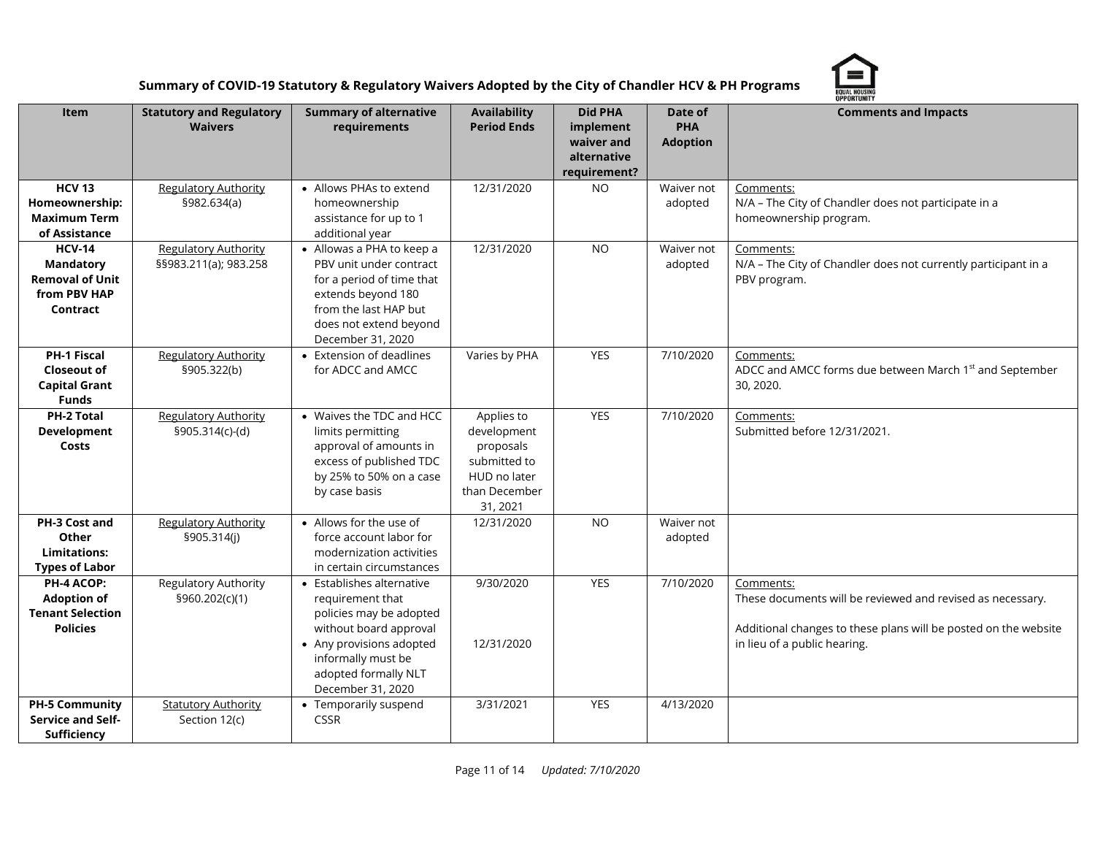

|                                                                                         |                                                      |                                                                                                                                                                                                   |                                                                                                     |                                                                          |                                          | OPPORTUNITY                                                                                                                                                                |
|-----------------------------------------------------------------------------------------|------------------------------------------------------|---------------------------------------------------------------------------------------------------------------------------------------------------------------------------------------------------|-----------------------------------------------------------------------------------------------------|--------------------------------------------------------------------------|------------------------------------------|----------------------------------------------------------------------------------------------------------------------------------------------------------------------------|
| Item                                                                                    | <b>Statutory and Regulatory</b><br><b>Waivers</b>    | <b>Summary of alternative</b><br>requirements                                                                                                                                                     | <b>Availability</b><br><b>Period Ends</b>                                                           | <b>Did PHA</b><br>implement<br>waiver and<br>alternative<br>requirement? | Date of<br><b>PHA</b><br><b>Adoption</b> | <b>Comments and Impacts</b>                                                                                                                                                |
| <b>HCV 13</b><br>Homeownership:<br><b>Maximum Term</b><br>of Assistance                 | <b>Regulatory Authority</b><br>§982.634(a)           | • Allows PHAs to extend<br>homeownership<br>assistance for up to 1<br>additional year                                                                                                             | 12/31/2020                                                                                          | N <sub>O</sub>                                                           | Waiver not<br>adopted                    | Comments:<br>N/A - The City of Chandler does not participate in a<br>homeownership program.                                                                                |
| <b>HCV-14</b><br><b>Mandatory</b><br><b>Removal of Unit</b><br>from PBV HAP<br>Contract | <b>Regulatory Authority</b><br>§§983.211(a); 983.258 | • Allowas a PHA to keep a<br>PBV unit under contract<br>for a period of time that<br>extends beyond 180<br>from the last HAP but<br>does not extend beyond<br>December 31, 2020                   | 12/31/2020                                                                                          | <b>NO</b>                                                                | Waiver not<br>adopted                    | Comments:<br>N/A - The City of Chandler does not currently participant in a<br>PBV program.                                                                                |
| <b>PH-1 Fiscal</b><br><b>Closeout of</b><br><b>Capital Grant</b><br><b>Funds</b>        | <b>Regulatory Authority</b><br>§905.322(b)           | • Extension of deadlines<br>for ADCC and AMCC                                                                                                                                                     | Varies by PHA                                                                                       | <b>YES</b>                                                               | 7/10/2020                                | Comments:<br>ADCC and AMCC forms due between March 1 <sup>st</sup> and September<br>30, 2020.                                                                              |
| PH-2 Total<br>Development<br>Costs                                                      | <b>Regulatory Authority</b><br>§905.314(c)-(d)       | • Waives the TDC and HCC<br>limits permitting<br>approval of amounts in<br>excess of published TDC<br>by 25% to 50% on a case<br>by case basis                                                    | Applies to<br>development<br>proposals<br>submitted to<br>HUD no later<br>than December<br>31, 2021 | <b>YES</b>                                                               | 7/10/2020                                | Comments:<br>Submitted before 12/31/2021.                                                                                                                                  |
| PH-3 Cost and<br>Other<br><b>Limitations:</b><br><b>Types of Labor</b>                  | <b>Regulatory Authority</b><br>§905.314(j)           | • Allows for the use of<br>force account labor for<br>modernization activities<br>in certain circumstances                                                                                        | 12/31/2020                                                                                          | <b>NO</b>                                                                | Waiver not<br>adopted                    |                                                                                                                                                                            |
| PH-4 ACOP:<br><b>Adoption of</b><br><b>Tenant Selection</b><br><b>Policies</b>          | Regulatory Authority<br>§960.202(c)(1)               | • Establishes alternative<br>requirement that<br>policies may be adopted<br>without board approval<br>• Any provisions adopted<br>informally must be<br>adopted formally NLT<br>December 31, 2020 | 9/30/2020<br>12/31/2020                                                                             | <b>YES</b>                                                               | 7/10/2020                                | Comments:<br>These documents will be reviewed and revised as necessary.<br>Additional changes to these plans will be posted on the website<br>in lieu of a public hearing. |
| <b>PH-5 Community</b><br>Service and Self-<br>Sufficiency                               | <b>Statutory Authority</b><br>Section 12(c)          | • Temporarily suspend<br><b>CSSR</b>                                                                                                                                                              | 3/31/2021                                                                                           | YES                                                                      | 4/13/2020                                |                                                                                                                                                                            |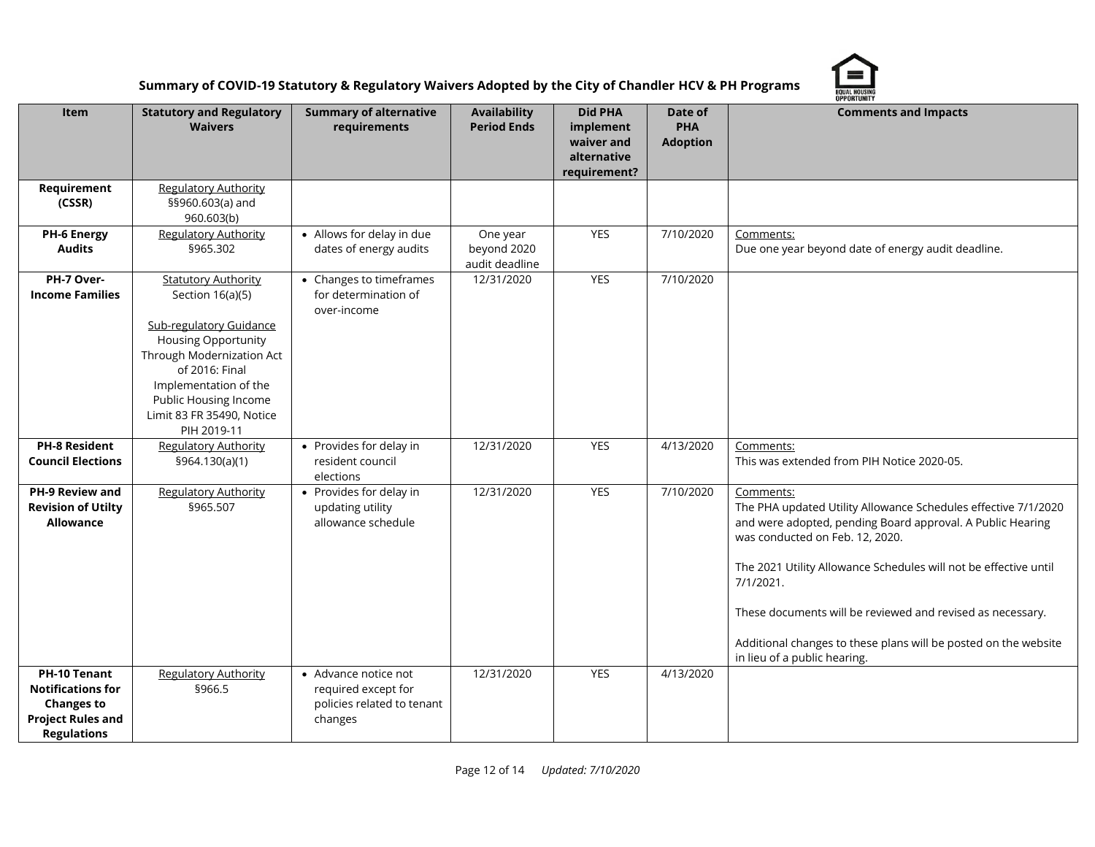

|                                                                                                                        |                                                                                                                                                                                                                                                             |                                                                                      |                                           |                                                                          |                                          | OPPORTUNITY                                                                                                                                                                                                                                                                                                                                                                                                                    |
|------------------------------------------------------------------------------------------------------------------------|-------------------------------------------------------------------------------------------------------------------------------------------------------------------------------------------------------------------------------------------------------------|--------------------------------------------------------------------------------------|-------------------------------------------|--------------------------------------------------------------------------|------------------------------------------|--------------------------------------------------------------------------------------------------------------------------------------------------------------------------------------------------------------------------------------------------------------------------------------------------------------------------------------------------------------------------------------------------------------------------------|
| Item                                                                                                                   | <b>Statutory and Regulatory</b><br><b>Waivers</b>                                                                                                                                                                                                           | <b>Summary of alternative</b><br>requirements                                        | Availability<br><b>Period Ends</b>        | <b>Did PHA</b><br>implement<br>waiver and<br>alternative<br>requirement? | Date of<br><b>PHA</b><br><b>Adoption</b> | <b>Comments and Impacts</b>                                                                                                                                                                                                                                                                                                                                                                                                    |
| Requirement<br>(CSSR)                                                                                                  | <b>Regulatory Authority</b><br>§§960.603(a) and<br>960.603(b)                                                                                                                                                                                               |                                                                                      |                                           |                                                                          |                                          |                                                                                                                                                                                                                                                                                                                                                                                                                                |
| <b>PH-6 Energy</b><br><b>Audits</b>                                                                                    | <b>Regulatory Authority</b><br>§965.302                                                                                                                                                                                                                     | • Allows for delay in due<br>dates of energy audits                                  | One year<br>beyond 2020<br>audit deadline | YES                                                                      | 7/10/2020                                | Comments:<br>Due one year beyond date of energy audit deadline.                                                                                                                                                                                                                                                                                                                                                                |
| PH-7 Over-<br><b>Income Families</b>                                                                                   | <b>Statutory Authority</b><br>Section 16(a)(5)<br><b>Sub-regulatory Guidance</b><br><b>Housing Opportunity</b><br>Through Modernization Act<br>of 2016: Final<br>Implementation of the<br>Public Housing Income<br>Limit 83 FR 35490, Notice<br>PIH 2019-11 | • Changes to timeframes<br>for determination of<br>over-income                       | 12/31/2020                                | <b>YES</b>                                                               | 7/10/2020                                |                                                                                                                                                                                                                                                                                                                                                                                                                                |
| <b>PH-8 Resident</b><br><b>Council Elections</b>                                                                       | <b>Regulatory Authority</b><br>§964.130(a)(1)                                                                                                                                                                                                               | • Provides for delay in<br>resident council<br>elections                             | 12/31/2020                                | <b>YES</b>                                                               | 4/13/2020                                | Comments:<br>This was extended from PIH Notice 2020-05.                                                                                                                                                                                                                                                                                                                                                                        |
| PH-9 Review and<br><b>Revision of Utilty</b><br><b>Allowance</b>                                                       | <b>Regulatory Authority</b><br>§965.507                                                                                                                                                                                                                     | • Provides for delay in<br>updating utility<br>allowance schedule                    | 12/31/2020                                | <b>YES</b>                                                               | 7/10/2020                                | Comments:<br>The PHA updated Utility Allowance Schedules effective 7/1/2020<br>and were adopted, pending Board approval. A Public Hearing<br>was conducted on Feb. 12, 2020.<br>The 2021 Utility Allowance Schedules will not be effective until<br>7/1/2021.<br>These documents will be reviewed and revised as necessary.<br>Additional changes to these plans will be posted on the website<br>in lieu of a public hearing. |
| <b>PH-10 Tenant</b><br><b>Notifications for</b><br><b>Changes to</b><br><b>Project Rules and</b><br><b>Regulations</b> | <b>Regulatory Authority</b><br>§966.5                                                                                                                                                                                                                       | • Advance notice not<br>required except for<br>policies related to tenant<br>changes | 12/31/2020                                | YES                                                                      | 4/13/2020                                |                                                                                                                                                                                                                                                                                                                                                                                                                                |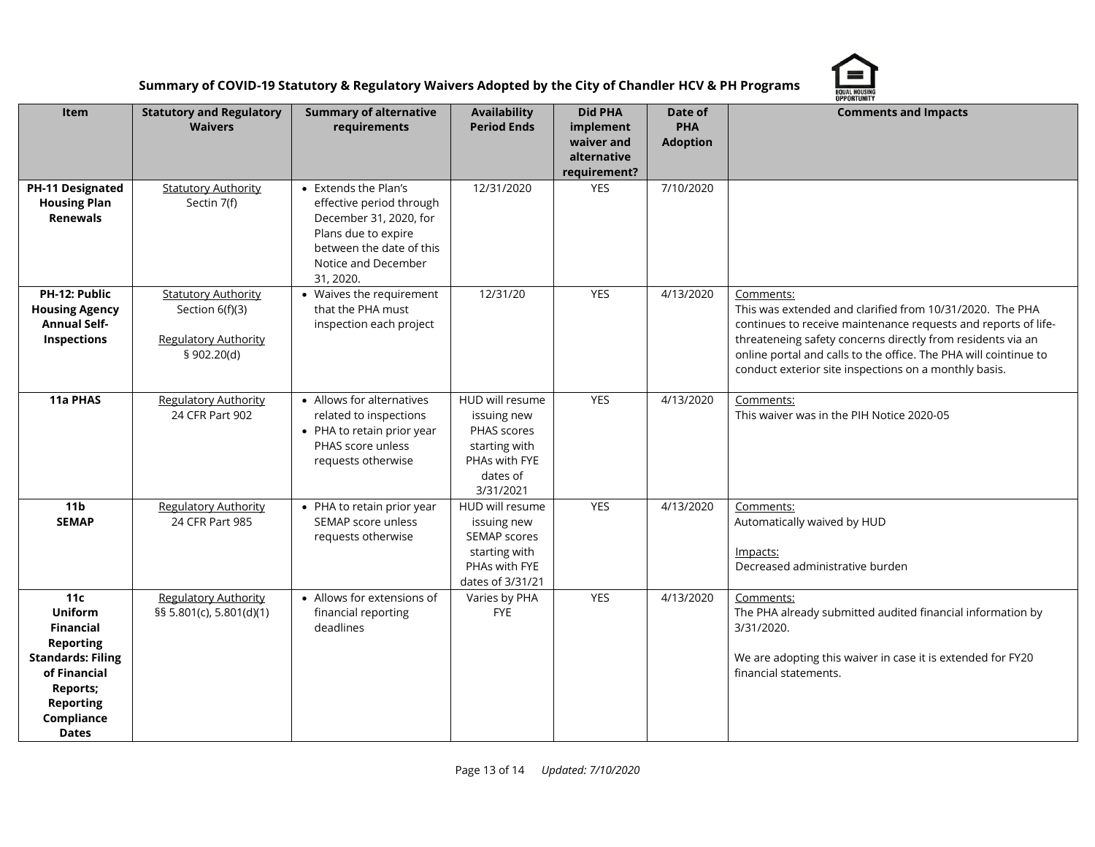

|                                                                                                                                                                                            | <b>OPPORTUNITY</b>                                                                          |                                                                                                                                                                   |                                                                                                          |                                                                          |                                          |                                                                                                                                                                                                                                                                                                                                     |  |
|--------------------------------------------------------------------------------------------------------------------------------------------------------------------------------------------|---------------------------------------------------------------------------------------------|-------------------------------------------------------------------------------------------------------------------------------------------------------------------|----------------------------------------------------------------------------------------------------------|--------------------------------------------------------------------------|------------------------------------------|-------------------------------------------------------------------------------------------------------------------------------------------------------------------------------------------------------------------------------------------------------------------------------------------------------------------------------------|--|
| Item                                                                                                                                                                                       | <b>Statutory and Regulatory</b><br><b>Waivers</b>                                           | <b>Summary of alternative</b><br>requirements                                                                                                                     | <b>Availability</b><br><b>Period Ends</b>                                                                | <b>Did PHA</b><br>implement<br>waiver and<br>alternative<br>requirement? | Date of<br><b>PHA</b><br><b>Adoption</b> | <b>Comments and Impacts</b>                                                                                                                                                                                                                                                                                                         |  |
| PH-11 Designated<br><b>Housing Plan</b><br><b>Renewals</b>                                                                                                                                 | <b>Statutory Authority</b><br>Sectin 7(f)                                                   | • Extends the Plan's<br>effective period through<br>December 31, 2020, for<br>Plans due to expire<br>between the date of this<br>Notice and December<br>31, 2020. | 12/31/2020                                                                                               | <b>YES</b>                                                               | 7/10/2020                                |                                                                                                                                                                                                                                                                                                                                     |  |
| PH-12: Public<br><b>Housing Agency</b><br><b>Annual Self-</b><br>Inspections                                                                                                               | <b>Statutory Authority</b><br>Section 6(f)(3)<br><b>Regulatory Authority</b><br>§ 902.20(d) | • Waives the requirement<br>that the PHA must<br>inspection each project                                                                                          | 12/31/20                                                                                                 | <b>YES</b>                                                               | 4/13/2020                                | Comments:<br>This was extended and clarified from 10/31/2020. The PHA<br>continues to receive maintenance requests and reports of life-<br>threateneing safety concerns directly from residents via an<br>online portal and calls to the office. The PHA will cointinue to<br>conduct exterior site inspections on a monthly basis. |  |
| 11a PHAS                                                                                                                                                                                   | <b>Regulatory Authority</b><br>24 CFR Part 902                                              | • Allows for alternatives<br>related to inspections<br>• PHA to retain prior year<br>PHAS score unless<br>requests otherwise                                      | HUD will resume<br>issuing new<br>PHAS scores<br>starting with<br>PHAs with FYE<br>dates of<br>3/31/2021 | <b>YES</b>                                                               | 4/13/2020                                | Comments:<br>This waiver was in the PIH Notice 2020-05                                                                                                                                                                                                                                                                              |  |
| 11 <sub>b</sub><br><b>SEMAP</b>                                                                                                                                                            | <b>Regulatory Authority</b><br>24 CFR Part 985                                              | • PHA to retain prior year<br>SEMAP score unless<br>requests otherwise                                                                                            | HUD will resume<br>issuing new<br>SEMAP scores<br>starting with<br>PHAs with FYE<br>dates of 3/31/21     | <b>YES</b>                                                               | 4/13/2020                                | Comments:<br>Automatically waived by HUD<br>Impacts:<br>Decreased administrative burden                                                                                                                                                                                                                                             |  |
| 11 <sub>c</sub><br><b>Uniform</b><br><b>Financial</b><br><b>Reporting</b><br><b>Standards: Filing</b><br>of Financial<br><b>Reports;</b><br><b>Reporting</b><br>Compliance<br><b>Dates</b> | <b>Regulatory Authority</b><br>§§ 5.801(c), 5.801(d)(1)                                     | • Allows for extensions of<br>financial reporting<br>deadlines                                                                                                    | Varies by PHA<br><b>FYE</b>                                                                              | <b>YES</b>                                                               | 4/13/2020                                | Comments:<br>The PHA already submitted audited financial information by<br>3/31/2020.<br>We are adopting this waiver in case it is extended for FY20<br>financial statements.                                                                                                                                                       |  |